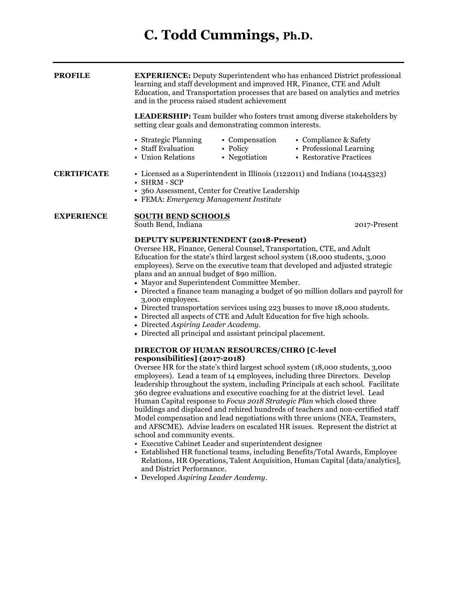# **C. Todd Cummings, Ph.D.**

**PROFILE EXPERIENCE:** Deputy Superintendent who has enhanced District professional learning and staff development and improved HR, Finance, CTE and Adult Education, and Transportation processes that are based on analytics and metrics and in the process raised student achievement

> **LEADERSHIP:** Team builder who fosters trust among diverse stakeholders by setting clear goals and demonstrating common interests.

- Strategic Planning Compensation Compliance & Safety
	-
- 
- Staff Evaluation Policy Professional Learning
	-
- 
- Union Relations Negotiation Restorative Practices

## **CERTIFICATE** • Licensed as a Superintendent in Illinois (1122011) and Indiana (10445323) • SHRM - SCP

- 360 Assessment, Center for Creative Leadership
- FEMA: *Emergency Management Institute*

#### **EXPERIENCE SOUTH BEND SCHOOLS**

South Bend, Indiana 2017-Present

### **DEPUTY SUPERINTENDENT (2018-Present)**

Oversee HR, Finance, General Counsel, Transportation, CTE, and Adult Education for the state's third largest school system (18,000 students, 3,000 employees). Serve on the executive team that developed and adjusted strategic plans and an annual budget of \$90 million.

- Mayor and Superintendent Committee Member.
- Directed a finance team managing a budget of 90 million dollars and payroll for 3,000 employees.
- Directed transportation services using 223 busses to move 18,000 students.
- Directed all aspects of CTE and Adult Education for five high schools.
- Directed *Aspiring Leader Academy.*
- Directed all principal and assistant principal placement.

# **DIRECTOR OF HUMAN RESOURCES/CHRO [C-level responsibilities] (2017-2018)**

Oversee HR for the state's third largest school system (18,000 students, 3,000 employees). Lead a team of 14 employees, including three Directors. Develop leadership throughout the system, including Principals at each school. Facilitate 360 degree evaluations and executive coaching for at the district level. Lead Human Capital response to *Focus 2018 Strategic Plan* which closed three buildings and displaced and rehired hundreds of teachers and non-certified staff Model compensation and lead negotiations with three unions (NEA, Teamsters, and AFSCME). Advise leaders on escalated HR issues. Represent the district at school and community events.

- Executive Cabinet Leader and superintendent designee
- Established HR functional teams, including Benefits/Total Awards, Employee Relations, HR Operations, Talent Acquisition, Human Capital [data/analytics], and District Performance.
- Developed *Aspiring Leader Academy.*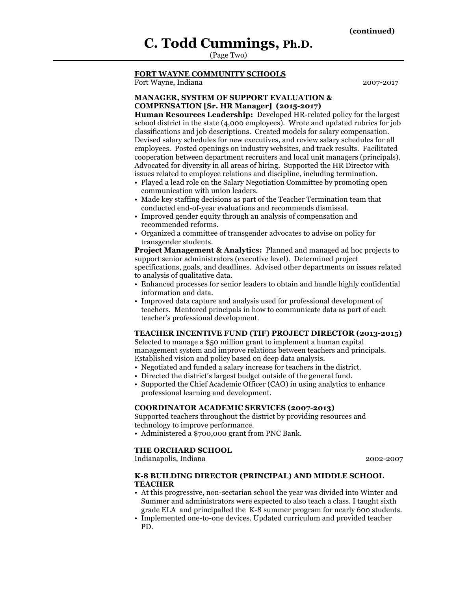# **C. Todd Cummings, Ph.D.**

(Page Two)

# **FORT WAYNE COMMUNITY SCHOOLS**

Fort Wayne, Indiana 2007-2017

# **MANAGER, SYSTEM OF SUPPORT EVALUATION & COMPENSATION [Sr. HR Manager] (2015-2017)**

**Human Resources Leadership:** Developed HR-related policy for the largest school district in the state (4,000 employees). Wrote and updated rubrics for job classifications and job descriptions. Created models for salary compensation. Devised salary schedules for new executives, and review salary schedules for all employees. Posted openings on industry websites, and track results. Facilitated cooperation between department recruiters and local unit managers (principals). Advocated for diversity in all areas of hiring. Supported the HR Director with issues related to employee relations and discipline, including termination.

- Played a lead role on the Salary Negotiation Committee by promoting open communication with union leaders.
- Made key staffing decisions as part of the Teacher Termination team that conducted end-of-year evaluations and recommends dismissal.
- Improved gender equity through an analysis of compensation and recommended reforms.
- Organized a committee of transgender advocates to advise on policy for transgender students.

**Project Management & Analytics:** Planned and managed ad hoc projects to support senior administrators (executive level). Determined project specifications, goals, and deadlines. Advised other departments on issues related to analysis of qualitative data.

- Enhanced processes for senior leaders to obtain and handle highly confidential information and data.
- Improved data capture and analysis used for professional development of teachers. Mentored principals in how to communicate data as part of each teacher's professional development.

# **TEACHER INCENTIVE FUND (TIF) PROJECT DIRECTOR (2013-2015)**

Selected to manage a \$50 million grant to implement a human capital management system and improve relations between teachers and principals. Established vision and policy based on deep data analysis.

- Negotiated and funded a salary increase for teachers in the district.
- Directed the district's largest budget outside of the general fund.
- Supported the Chief Academic Officer (CAO) in using analytics to enhance professional learning and development.

#### **COORDINATOR ACADEMIC SERVICES (2007-2013)**

Supported teachers throughout the district by providing resources and technology to improve performance.

• Administered a \$700,000 grant from PNC Bank.

#### **THE ORCHARD SCHOOL**

Indianapolis, Indiana 2002-2007

#### **K-8 BUILDING DIRECTOR (PRINCIPAL) AND MIDDLE SCHOOL TEACHER**

- At this progressive, non-sectarian school the year was divided into Winter and Summer and administrators were expected to also teach a class. I taught sixth grade ELA and principalled the K-8 summer program for nearly 600 students.
- Implemented one-to-one devices. Updated curriculum and provided teacher PD.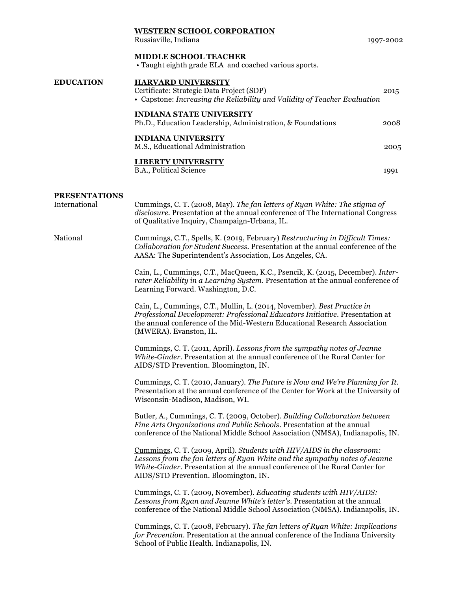|                                       | <b>WESTERN SCHOOL CORPORATION</b><br>Russiaville, Indiana                                                                                                                                                                                                                      | 1997-2002 |
|---------------------------------------|--------------------------------------------------------------------------------------------------------------------------------------------------------------------------------------------------------------------------------------------------------------------------------|-----------|
|                                       | MIDDLE SCHOOL TEACHER<br>• Taught eighth grade ELA and coached various sports.                                                                                                                                                                                                 |           |
| <b>EDUCATION</b>                      | <b>HARVARD UNIVERSITY</b><br>Certificate: Strategic Data Project (SDP)<br>• Capstone: Increasing the Reliability and Validity of Teacher Evaluation                                                                                                                            | 2015      |
|                                       | <b>INDIANA STATE UNIVERSITY</b><br>Ph.D., Education Leadership, Administration, & Foundations                                                                                                                                                                                  | 2008      |
|                                       | <b>INDIANA UNIVERSITY</b><br>M.S., Educational Administration                                                                                                                                                                                                                  | 2005      |
|                                       | <b>LIBERTY UNIVERSITY</b><br>B.A., Political Science                                                                                                                                                                                                                           | 1991      |
| <b>PRESENTATIONS</b><br>International | Cummings, C. T. (2008, May). The fan letters of Ryan White: The stigma of<br>disclosure. Presentation at the annual conference of The International Congress<br>of Qualitative Inquiry, Champaign-Urbana, IL.                                                                  |           |
| National                              | Cummings, C.T., Spells, K. (2019, February) Restructuring in Difficult Times:<br>Collaboration for Student Success. Presentation at the annual conference of the<br>AASA: The Superintendent's Association, Los Angeles, CA.                                                   |           |
|                                       | Cain, L., Cummings, C.T., MacQueen, K.C., Psencik, K. (2015, December). Inter-<br>rater Reliability in a Learning System. Presentation at the annual conference of<br>Learning Forward. Washington, D.C.                                                                       |           |
|                                       | Cain, L., Cummings, C.T., Mullin, L. (2014, November). Best Practice in<br>Professional Development: Professional Educators Initiative. Presentation at<br>the annual conference of the Mid-Western Educational Research Association<br>(MWERA). Evanston, IL.                 |           |
|                                       | Cummings, C. T. (2011, April). Lessons from the sympathy notes of Jeanne<br>White-Ginder. Presentation at the annual conference of the Rural Center for<br>AIDS/STD Prevention. Bloomington, IN.                                                                               |           |
|                                       | Cummings, C. T. (2010, January). The Future is Now and We're Planning for It.<br>Presentation at the annual conference of the Center for Work at the University of<br>Wisconsin-Madison, Madison, WI.                                                                          |           |
|                                       | Butler, A., Cummings, C. T. (2009, October). Building Collaboration between<br>Fine Arts Organizations and Public Schools. Presentation at the annual<br>conference of the National Middle School Association (NMSA), Indianapolis, IN.                                        |           |
|                                       | Cummings, C. T. (2009, April). Students with HIV/AIDS in the classroom:<br>Lessons from the fan letters of Ryan White and the sympathy notes of Jeanne<br>White-Ginder. Presentation at the annual conference of the Rural Center for<br>AIDS/STD Prevention. Bloomington, IN. |           |
|                                       | Cummings, C. T. (2009, November). Educating students with HIV/AIDS:<br>Lessons from Ryan and Jeanne White's letter's. Presentation at the annual<br>conference of the National Middle School Association (NMSA). Indianapolis, IN.                                             |           |
|                                       | Cummings, C. T. (2008, February). The fan letters of Ryan White: Implications<br>for Prevention. Presentation at the annual conference of the Indiana University<br>School of Public Health. Indianapolis, IN.                                                                 |           |